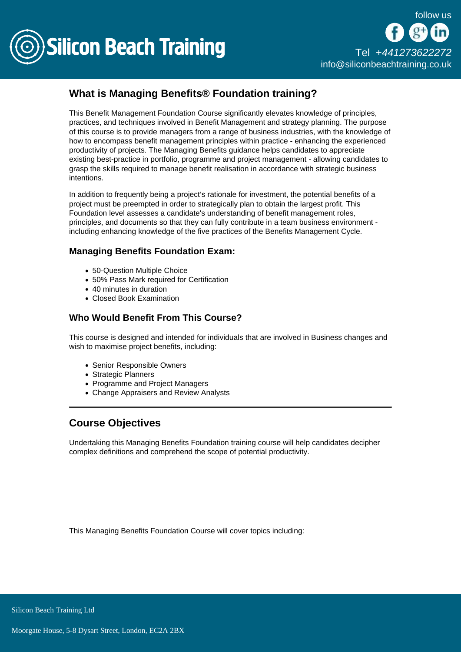

## What is Managing Benefits® Foundation training?

This Benefit Management Foundation Course significantly elevates knowledge of principles, practices, and techniques involved in Benefit Management and strategy planning. The purpose of this course is to provide managers from a range of business industries, with the knowledge of how to encompass benefit management principles within practice - enhancing the experienced productivity of projects. The Managing Benefits guidance helps candidates to appreciate existing best-practice in portfolio, programme and project management - allowing candidates to grasp the skills required to manage benefit realisation in accordance with strategic business intentions.

In addition to frequently being a project's rationale for investment, the potential benefits of a project must be preempted in order to strategically plan to obtain the largest profit. This Foundation level assesses a candidate's understanding of benefit management roles, principles, and documents so that they can fully contribute in a team business environment including enhancing knowledge of the five practices of the Benefits Management Cycle.

## Managing Benefits Foundation Exam:

- 50-Question Multiple Choice
- 50% Pass Mark required for Certification
- 40 minutes in duration
- Closed Book Examination

## Who Would Benefit From This Course?

This course is designed and intended for individuals that are involved in Business changes and wish to maximise project benefits, including:

- Senior Responsible Owners
- Strategic Planners
- Programme and Project Managers
- Change Appraisers and Review Analysts

## Course Objectives

Undertaking this Managing Benefits Foundation training course will help candidates decipher complex definitions and comprehend the scope of potential productivity.

This Managing Benefits Foundation Course will cover topics including: